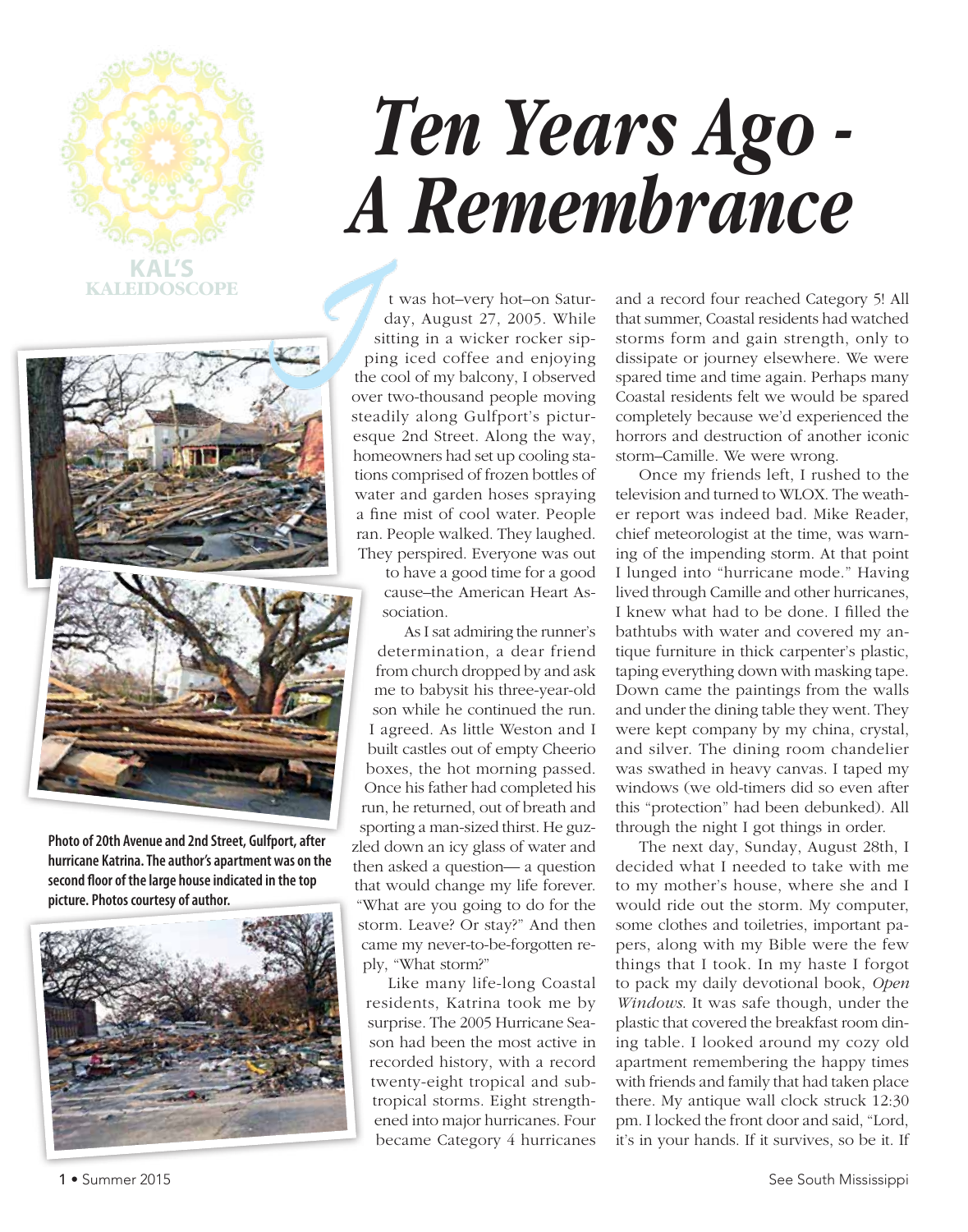



**Photo of 20th Avenue and 2nd Street, Gulfport, after hurricane Katrina. The author's apartment was on the second floor of the large house indicated in the top picture. Photos courtesy of author.**



## *Ten Years Ago - A Remembrance*

t was hot–very hot–on Saturday, August 27, 2005. While sitting in a wicker rocker sipping iced coffee and enjoying the cool of my balcony, I observed over two-thousand people moving steadily along Gulfport's picturesque 2nd Street. Along the way, homeowners had set up cooling stations comprised of frozen bottles of water and garden hoses spraying a fine mist of cool water. People ran. People walked. They laughed. They perspired. Everyone was out

to have a good time for a good cause–the American Heart Association.

As I sat admiring the runner's determination, a dear friend from church dropped by and ask me to babysit his three-year-old son while he continued the run. I agreed. As little Weston and I built castles out of empty Cheerio boxes, the hot morning passed. Once his father had completed his run, he returned, out of breath and sporting a man-sized thirst. He guzzled down an icy glass of water and then asked a question— a question that would change my life forever. "What are you going to do for the storm. Leave? Or stay?" And then came my never-to-be-forgotten reply, "What storm?"

Like many life-long Coastal residents, Katrina took me by surprise. The 2005 Hurricane Season had been the most active in recorded history, with a record twenty-eight tropical and subtropical storms. Eight strengthened into major hurricanes. Four became Category 4 hurricanes

and a record four reached Category 5! All that summer, Coastal residents had watched storms form and gain strength, only to dissipate or journey elsewhere. We were spared time and time again. Perhaps many Coastal residents felt we would be spared completely because we'd experienced the horrors and destruction of another iconic storm–Camille. We were wrong.

Once my friends left, I rushed to the television and turned to WLOX. The weather report was indeed bad. Mike Reader, chief meteorologist at the time, was warning of the impending storm. At that point I lunged into "hurricane mode." Having lived through Camille and other hurricanes, I knew what had to be done. I filled the bathtubs with water and covered my antique furniture in thick carpenter's plastic, taping everything down with masking tape. Down came the paintings from the walls and under the dining table they went. They were kept company by my china, crystal, and silver. The dining room chandelier was swathed in heavy canvas. I taped my windows (we old-timers did so even after this "protection" had been debunked). All through the night I got things in order.

The next day, Sunday, August 28th, I decided what I needed to take with me to my mother's house, where she and I would ride out the storm. My computer, some clothes and toiletries, important papers, along with my Bible were the few things that I took. In my haste I forgot to pack my daily devotional book, *Open Windows*. It was safe though, under the plastic that covered the breakfast room dining table. I looked around my cozy old apartment remembering the happy times with friends and family that had taken place there. My antique wall clock struck 12:30 pm. I locked the front door and said, "Lord, it's in your hands. If it survives, so be it. If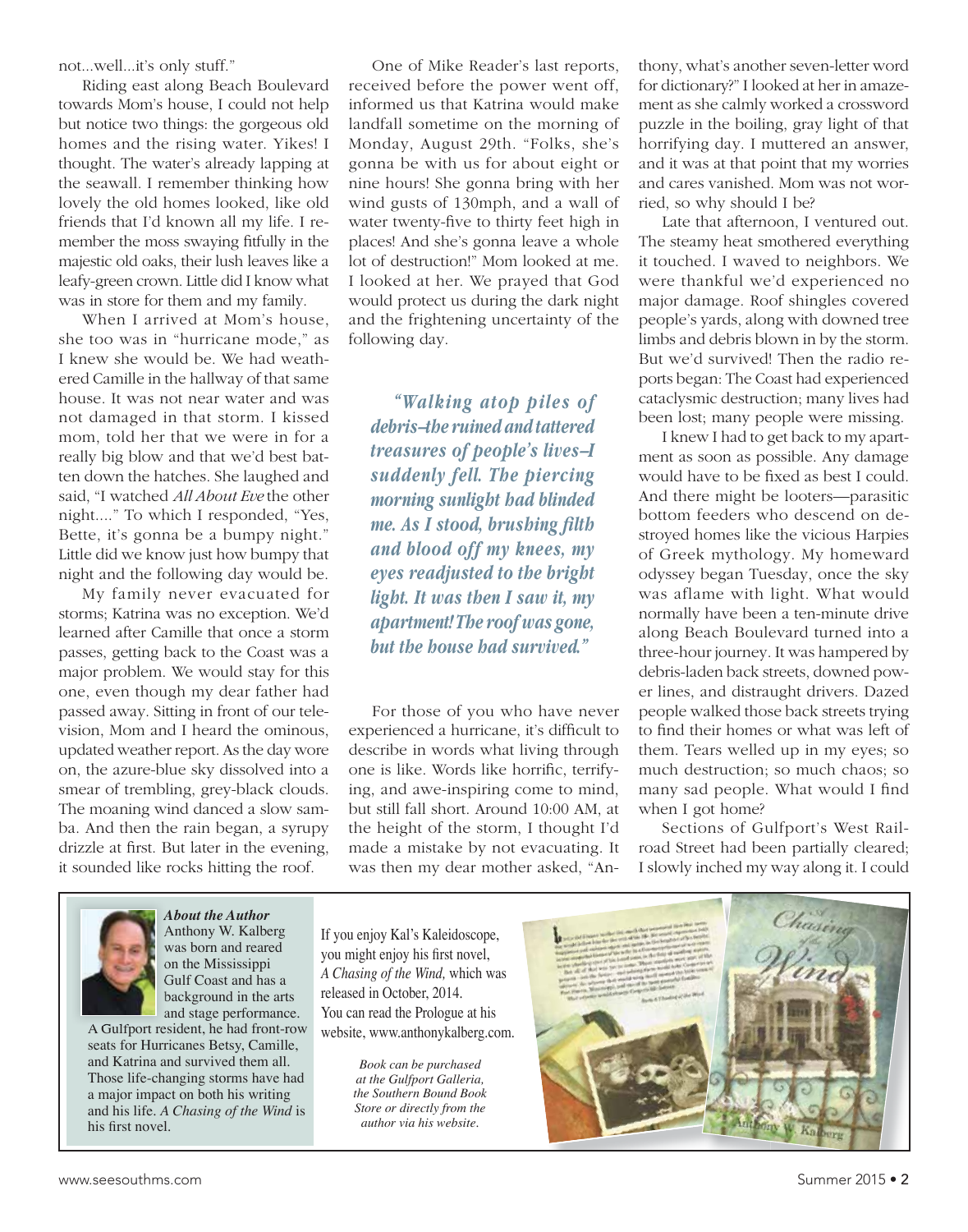not...well...it's only stuff."

Riding east along Beach Boulevard towards Mom's house, I could not help but notice two things: the gorgeous old homes and the rising water. Yikes! I thought. The water's already lapping at the seawall. I remember thinking how lovely the old homes looked, like old friends that I'd known all my life. I remember the moss swaying fitfully in the majestic old oaks, their lush leaves like a leafy-green crown. Little did I know what was in store for them and my family.

When I arrived at Mom's house, she too was in "hurricane mode," as I knew she would be. We had weathered Camille in the hallway of that same house. It was not near water and was not damaged in that storm. I kissed mom, told her that we were in for a really big blow and that we'd best batten down the hatches. She laughed and said, "I watched *All About Eve* the other night...." To which I responded, "Yes, Bette, it's gonna be a bumpy night." Little did we know just how bumpy that night and the following day would be.

My family never evacuated for storms; Katrina was no exception. We'd learned after Camille that once a storm passes, getting back to the Coast was a major problem. We would stay for this one, even though my dear father had passed away. Sitting in front of our television, Mom and I heard the ominous, updated weather report. As the day wore on, the azure-blue sky dissolved into a smear of trembling, grey-black clouds. The moaning wind danced a slow samba. And then the rain began, a syrupy drizzle at first. But later in the evening, it sounded like rocks hitting the roof.

One of Mike Reader's last reports, received before the power went off, informed us that Katrina would make landfall sometime on the morning of Monday, August 29th. "Folks, she's gonna be with us for about eight or nine hours! She gonna bring with her wind gusts of 130mph, and a wall of water twenty-five to thirty feet high in places! And she's gonna leave a whole lot of destruction!" Mom looked at me. I looked at her. We prayed that God would protect us during the dark night and the frightening uncertainty of the following day.

*"Walking atop piles of debris–the ruined and tattered treasures of people's lives–I suddenly fell. The piercing morning sunlight had blinded me. As I stood, brushing filth and blood off my knees, my eyes readjusted to the bright light. It was then I saw it, my apartment! The roof was gone, but the house had survived."* 

For those of you who have never experienced a hurricane, it's difficult to describe in words what living through one is like. Words like horrific, terrifying, and awe-inspiring come to mind, but still fall short. Around 10:00 AM, at the height of the storm, I thought I'd made a mistake by not evacuating. It was then my dear mother asked, "An-

thony, what's another seven-letter word for dictionary?" I looked at her in amazement as she calmly worked a crossword puzzle in the boiling, gray light of that horrifying day. I muttered an answer, and it was at that point that my worries and cares vanished. Mom was not worried, so why should I be?

Late that afternoon, I ventured out. The steamy heat smothered everything it touched. I waved to neighbors. We were thankful we'd experienced no major damage. Roof shingles covered people's yards, along with downed tree limbs and debris blown in by the storm. But we'd survived! Then the radio reports began: The Coast had experienced cataclysmic destruction; many lives had been lost; many people were missing.

I knew I had to get back to my apartment as soon as possible. Any damage would have to be fixed as best I could. And there might be looters—parasitic bottom feeders who descend on destroyed homes like the vicious Harpies of Greek mythology. My homeward odyssey began Tuesday, once the sky was aflame with light. What would normally have been a ten-minute drive along Beach Boulevard turned into a three-hour journey. It was hampered by debris-laden back streets, downed power lines, and distraught drivers. Dazed people walked those back streets trying to find their homes or what was left of them. Tears welled up in my eyes; so much destruction; so much chaos; so many sad people. What would I find when I got home?

Sections of Gulfport's West Railroad Street had been partially cleared; I slowly inched my way along it. I could



*About the Author* Anthony W. Kalberg was born and reared on the Mississippi Gulf Coast and has a background in the arts and stage performance.

A Gulfport resident, he had front-row seats for Hurricanes Betsy, Camille, and Katrina and survived them all. Those life-changing storms have had a major impact on both his writing and his life. *A Chasing of the Wind* is his first novel.

If you enjoy Kal's Kaleidoscope, you might enjoy his first novel, *A Chasing of the Wind,* which was released in October, 2014. You can read the Prologue at his website, www.anthonykalberg.com.

> *Book can be purchased at the Gulfport Galleria, the Southern Bound Book Store or directly from the author via his website.*